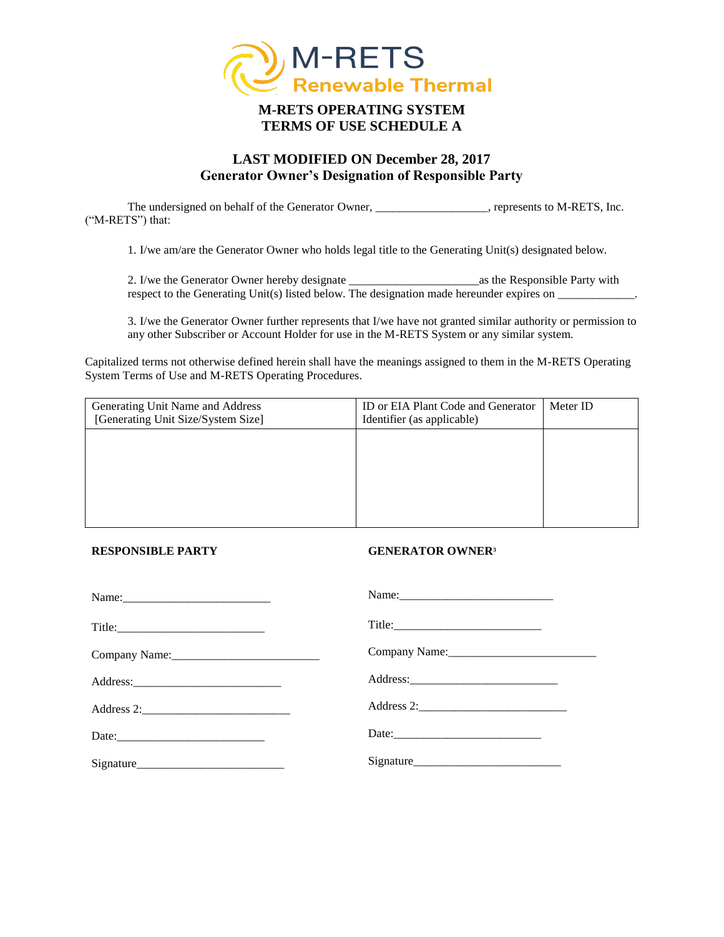

## **M-RETS OPERATING SYSTEM TERMS OF USE SCHEDULE A**

### **LAST MODIFIED ON December 28, 2017 Generator Owner's Designation of Responsible Party**

The undersigned on behalf of the Generator Owner, \_\_\_\_\_\_\_\_\_\_\_\_\_\_\_\_\_\_, represents to M-RETS, Inc. ("M-RETS") that:

1. I/we am/are the Generator Owner who holds legal title to the Generating Unit(s) designated below.

2. I/we the Generator Owner hereby designate \_\_\_\_\_\_\_\_\_\_\_\_\_\_\_\_\_\_\_\_\_\_as the Responsible Party with respect to the Generating Unit(s) listed below. The designation made hereunder expires on \_\_\_\_\_\_\_\_\_\_\_.

3. I/we the Generator Owner further represents that I/we have not granted similar authority or permission to any other Subscriber or Account Holder for use in the M-RETS System or any similar system.

Capitalized terms not otherwise defined herein shall have the meanings assigned to them in the M-RETS Operating System Terms of Use and M-RETS Operating Procedures.

| Generating Unit Name and Address<br>[Generating Unit Size/System Size] | ID or EIA Plant Code and Generator<br>Identifier (as applicable) | Meter ID |
|------------------------------------------------------------------------|------------------------------------------------------------------|----------|
|                                                                        |                                                                  |          |
|                                                                        |                                                                  |          |
|                                                                        |                                                                  |          |
|                                                                        |                                                                  |          |

#### **RESPONSIBLE PARTY**

#### **GENERATOR OWNER<sup>3</sup>**

| Date: |
|-------|
|       |